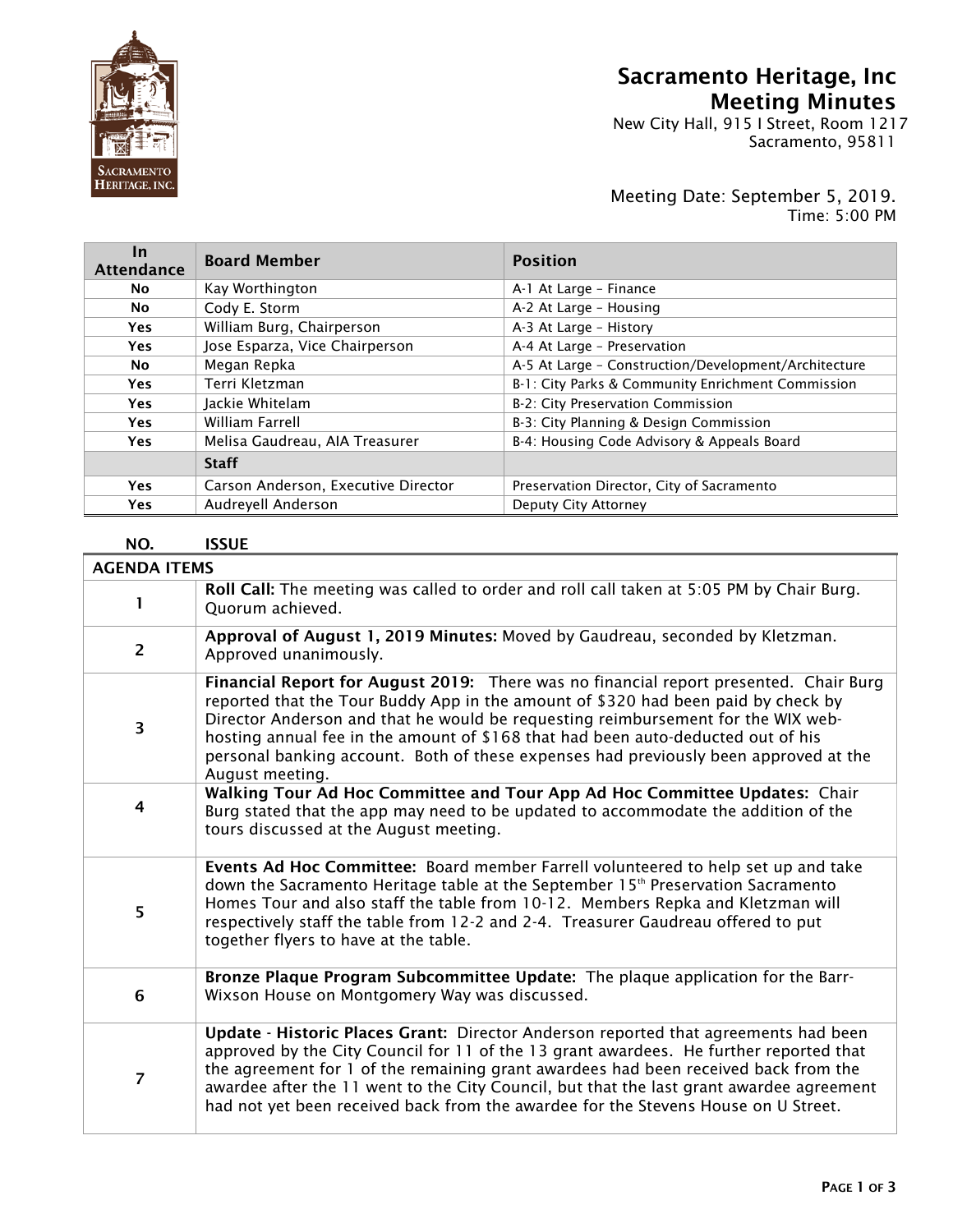

## Sacramento Heritage, Inc Meeting Minutes

New City Hall, 915 I Street, Room 1217  $\|\mathbf{S}\|$  Sacramento, 95811

## Meeting Date: September 5, 2019. Time: 5:00 PM

| <u>In</u><br><b>Attendance</b> | <b>Board Member</b>                 | <b>Position</b>                                      |
|--------------------------------|-------------------------------------|------------------------------------------------------|
| No.                            | Kay Worthington                     | A-1 At Large - Finance                               |
| No                             | Cody E. Storm                       | A-2 At Large - Housing                               |
| <b>Yes</b>                     | William Burg, Chairperson           | A-3 At Large - History                               |
| <b>Yes</b>                     | Jose Esparza, Vice Chairperson      | A-4 At Large - Preservation                          |
| No.                            | Megan Repka                         | A-5 At Large - Construction/Development/Architecture |
| <b>Yes</b>                     | Terri Kletzman                      | B-1: City Parks & Community Enrichment Commission    |
| <b>Yes</b>                     | Jackie Whitelam                     | B-2: City Preservation Commission                    |
| <b>Yes</b>                     | William Farrell                     | B-3: City Planning & Design Commission               |
| <b>Yes</b>                     | Melisa Gaudreau, AIA Treasurer      | B-4: Housing Code Advisory & Appeals Board           |
|                                | <b>Staff</b>                        |                                                      |
| <b>Yes</b>                     | Carson Anderson, Executive Director | Preservation Director, City of Sacramento            |
| Yes                            | Audreyell Anderson                  | Deputy City Attorney                                 |

## NO. ISSUE

| <b>AGENDA ITEMS</b>     |                                                                                                                                                                                                                                                                                                                                                                                                                                                               |
|-------------------------|---------------------------------------------------------------------------------------------------------------------------------------------------------------------------------------------------------------------------------------------------------------------------------------------------------------------------------------------------------------------------------------------------------------------------------------------------------------|
| 1.                      | Roll Call: The meeting was called to order and roll call taken at 5:05 PM by Chair Burg.<br>Quorum achieved.                                                                                                                                                                                                                                                                                                                                                  |
| $\overline{2}$          | Approval of August 1, 2019 Minutes: Moved by Gaudreau, seconded by Kletzman.<br>Approved unanimously.                                                                                                                                                                                                                                                                                                                                                         |
| $\overline{\mathbf{3}}$ | Financial Report for August 2019: There was no financial report presented. Chair Burg<br>reported that the Tour Buddy App in the amount of \$320 had been paid by check by<br>Director Anderson and that he would be requesting reimbursement for the WIX web-<br>hosting annual fee in the amount of \$168 that had been auto-deducted out of his<br>personal banking account. Both of these expenses had previously been approved at the<br>August meeting. |
| 4                       | Walking Tour Ad Hoc Committee and Tour App Ad Hoc Committee Updates: Chair<br>Burg stated that the app may need to be updated to accommodate the addition of the<br>tours discussed at the August meeting.                                                                                                                                                                                                                                                    |
| 5                       | Events Ad Hoc Committee: Board member Farrell volunteered to help set up and take<br>down the Sacramento Heritage table at the September 15 <sup>th</sup> Preservation Sacramento<br>Homes Tour and also staff the table from 10-12. Members Repka and Kletzman will<br>respectively staff the table from 12-2 and 2-4. Treasurer Gaudreau offered to put<br>together flyers to have at the table.                                                            |
| 6                       | Bronze Plaque Program Subcommittee Update: The plaque application for the Barr-<br>Wixson House on Montgomery Way was discussed.                                                                                                                                                                                                                                                                                                                              |
| $\overline{7}$          | Update - Historic Places Grant: Director Anderson reported that agreements had been<br>approved by the City Council for 11 of the 13 grant awardees. He further reported that<br>the agreement for 1 of the remaining grant awardees had been received back from the<br>awardee after the 11 went to the City Council, but that the last grant awardee agreement<br>had not yet been received back from the awardee for the Stevens House on U Street.        |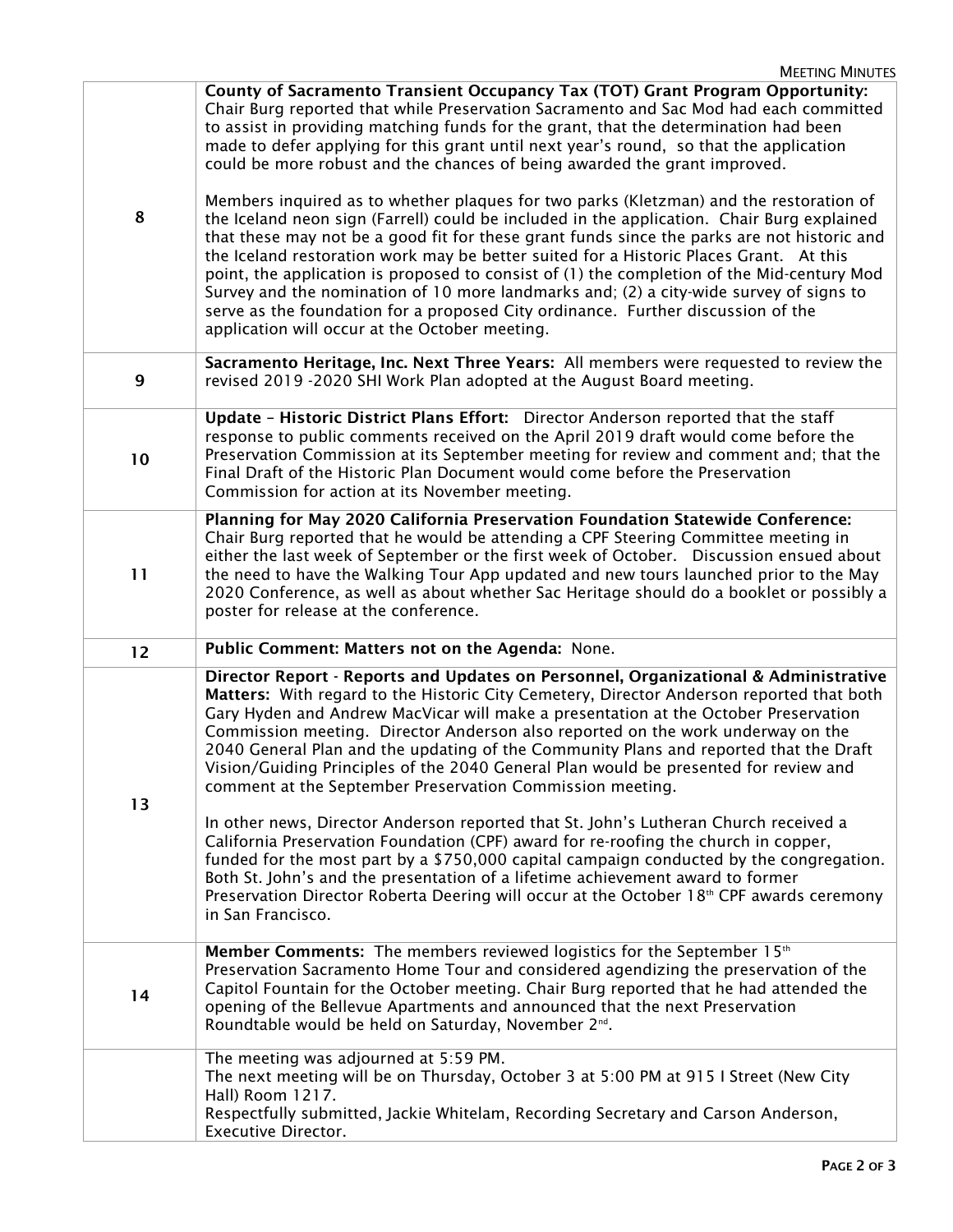| 8            | County of Sacramento Transient Occupancy Tax (TOT) Grant Program Opportunity:<br>Chair Burg reported that while Preservation Sacramento and Sac Mod had each committed<br>to assist in providing matching funds for the grant, that the determination had been<br>made to defer applying for this grant until next year's round, so that the application<br>could be more robust and the chances of being awarded the grant improved.<br>Members inquired as to whether plaques for two parks (Kletzman) and the restoration of<br>the Iceland neon sign (Farrell) could be included in the application. Chair Burg explained<br>that these may not be a good fit for these grant funds since the parks are not historic and<br>the Iceland restoration work may be better suited for a Historic Places Grant. At this<br>point, the application is proposed to consist of (1) the completion of the Mid-century Mod<br>Survey and the nomination of 10 more landmarks and; (2) a city-wide survey of signs to<br>serve as the foundation for a proposed City ordinance. Further discussion of the |
|--------------|----------------------------------------------------------------------------------------------------------------------------------------------------------------------------------------------------------------------------------------------------------------------------------------------------------------------------------------------------------------------------------------------------------------------------------------------------------------------------------------------------------------------------------------------------------------------------------------------------------------------------------------------------------------------------------------------------------------------------------------------------------------------------------------------------------------------------------------------------------------------------------------------------------------------------------------------------------------------------------------------------------------------------------------------------------------------------------------------------|
|              | application will occur at the October meeting.                                                                                                                                                                                                                                                                                                                                                                                                                                                                                                                                                                                                                                                                                                                                                                                                                                                                                                                                                                                                                                                     |
| $\mathbf{9}$ | Sacramento Heritage, Inc. Next Three Years: All members were requested to review the<br>revised 2019 -2020 SHI Work Plan adopted at the August Board meeting.                                                                                                                                                                                                                                                                                                                                                                                                                                                                                                                                                                                                                                                                                                                                                                                                                                                                                                                                      |
| 10           | Update - Historic District Plans Effort: Director Anderson reported that the staff<br>response to public comments received on the April 2019 draft would come before the<br>Preservation Commission at its September meeting for review and comment and; that the<br>Final Draft of the Historic Plan Document would come before the Preservation<br>Commission for action at its November meeting.                                                                                                                                                                                                                                                                                                                                                                                                                                                                                                                                                                                                                                                                                                |
| 11           | Planning for May 2020 California Preservation Foundation Statewide Conference:<br>Chair Burg reported that he would be attending a CPF Steering Committee meeting in<br>either the last week of September or the first week of October. Discussion ensued about<br>the need to have the Walking Tour App updated and new tours launched prior to the May<br>2020 Conference, as well as about whether Sac Heritage should do a booklet or possibly a<br>poster for release at the conference.                                                                                                                                                                                                                                                                                                                                                                                                                                                                                                                                                                                                      |
| 12           | Public Comment: Matters not on the Agenda: None.                                                                                                                                                                                                                                                                                                                                                                                                                                                                                                                                                                                                                                                                                                                                                                                                                                                                                                                                                                                                                                                   |
|              | Director Report - Reports and Updates on Personnel, Organizational & Administrative<br>Matters: With regard to the Historic City Cemetery, Director Anderson reported that both<br>Gary Hyden and Andrew MacVicar will make a presentation at the October Preservation<br>Commission meeting. Director Anderson also reported on the work underway on the                                                                                                                                                                                                                                                                                                                                                                                                                                                                                                                                                                                                                                                                                                                                          |
| 13           | 2040 General Plan and the updating of the Community Plans and reported that the Draft<br>Vision/Guiding Principles of the 2040 General Plan would be presented for review and<br>comment at the September Preservation Commission meeting.<br>In other news, Director Anderson reported that St. John's Lutheran Church received a<br>California Preservation Foundation (CPF) award for re-roofing the church in copper,<br>funded for the most part by a \$750,000 capital campaign conducted by the congregation.<br>Both St. John's and the presentation of a lifetime achievement award to former<br>Preservation Director Roberta Deering will occur at the October 18th CPF awards ceremony<br>in San Francisco.                                                                                                                                                                                                                                                                                                                                                                            |
| 14           | <b>Member Comments:</b> The members reviewed logistics for the September 15 <sup>th</sup><br>Preservation Sacramento Home Tour and considered agendizing the preservation of the<br>Capitol Fountain for the October meeting. Chair Burg reported that he had attended the<br>opening of the Bellevue Apartments and announced that the next Preservation<br>Roundtable would be held on Saturday, November 2 <sup>nd</sup> .                                                                                                                                                                                                                                                                                                                                                                                                                                                                                                                                                                                                                                                                      |